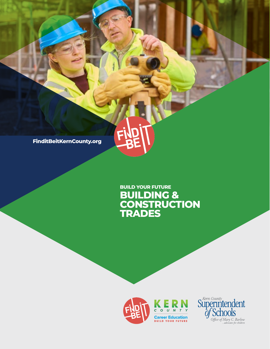**FinditBeitKernCounty.org**

# **BUILDING & CONSTRUCTION TRADES BUILD YOUR FUTURE**